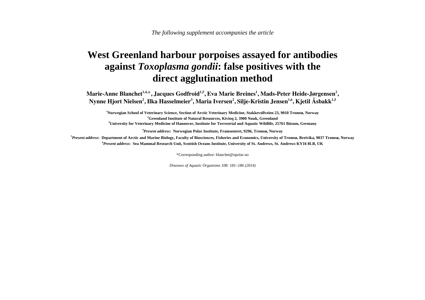## **West Greenland harbour porpoises assayed for antibodies against** *Toxoplasma gondii***: false positives with the direct agglutination method**

Marie-Anne Blanchet<sup>1,4,\*</sup>, Jacques Godfroid<sup>1,5</sup>, Eva Marie Breines<sup>1</sup>, Mads-Peter Heide-Jørgensen<sup>2</sup>, Nynne Hjort Nielsen<sup>2</sup>, Ilka Hasselmeier<sup>3</sup>, Maria Iversen<sup>2</sup>, Silje-Kristin Jensen<sup>1,6</sup>, Kjetil Åsbakk<sup>1,5</sup>

<sup>1</sup>Norwegian School of Veterinary Science, Section of Arctic Veterinary Medicine, Stakkevollveien 23, 9010 Tromsø, Norway<br><sup>2</sup>Greenland Institute of Natural Resources, Kivioq 2, 3900 Nuuk, Greenland<br><sup>3</sup>University for Veteri

**<sup>4</sup>***Present address***: Norwegian Polar Institute, Framsentret, 9296, Tromsø, Norway** 

**<sup>5</sup>***Present address***: Department of Arctic and Marine Biology, Faculty of Biosciences, Fisheries and Economics, University of Tromsø, Breivika, 9037 Tromsø, Norway <sup>6</sup>***Present address***: Sea Mammal Research Unit, Scottish Oceans Institute, University of St. Andrews, St. Andrews KY16 8LB, UK** 

\*Corresponding author: blanchet@npolar.no

*Diseases of Aquatic Organisms 108: 181–186 (2014)*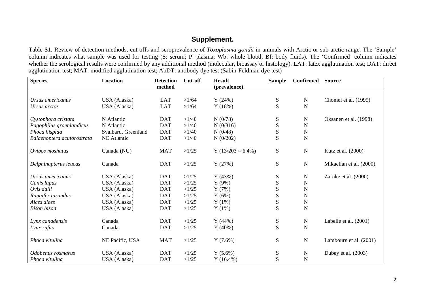## **Supplement.**

Table S1. Review of detection methods, cut offs and seroprevalence of *Toxoplasma gondii* in animals with Arctic or sub-arctic range. The 'Sample' column indicates what sample was used for testing (S: serum; P: plasma; Wb: whole blood; Bf: body fluids). The 'Confirmed' column indicates whether the serological results were confirmed by any additional method (molecular, bioassay or histology). LAT: latex agglutination test; DAT: direct agglutination test; MAT: modified agglutination test; AbDT: antibody dye test (Sabin-Feldman dye test)

| <b>Species</b>             | Location            | <b>Detection</b> | <b>Cut-off</b> | <b>Result</b>       | <b>Sample</b> | <b>Confirmed</b> | <b>Source</b>           |
|----------------------------|---------------------|------------------|----------------|---------------------|---------------|------------------|-------------------------|
|                            |                     | method           |                | (prevalence)        |               |                  |                         |
| Ursus americanus           | USA (Alaska)        | <b>LAT</b>       | >1/64          | Y(24%)              | ${\bf S}$     | $\mathbf N$      | Chomel et al. (1995)    |
| Ursus arctos               | USA (Alaska)        | <b>LAT</b>       | >1/64          | Y(18%)              | S             | N                |                         |
|                            |                     |                  |                |                     |               |                  |                         |
| Cystophora cristata        | N Atlantic          | <b>DAT</b>       | >1/40          | N(0/78)             | ${\bf S}$     | N                | Oksanen et al. (1998)   |
| Pagophilus groenlandicus   | N Atlantic          | <b>DAT</b>       | >1/40          | N(0/316)            | S             | N                |                         |
| Phoca hispida              | Svalbard, Greenland | <b>DAT</b>       | >1/40          | N(0/48)             | ${\bf S}$     | N                |                         |
| Balaenoptera acutorostrata | <b>NE</b> Atlantic  | <b>DAT</b>       | >1/40          | N(0/202)            | S             | N                |                         |
|                            |                     |                  |                |                     |               |                  |                         |
| Ovibos moshatus            | Canada (NU)         | <b>MAT</b>       | >1/25          | $Y(13/203 = 6.4\%)$ | ${\bf S}$     | $\mathbf N$      | Kutz et al. (2000)      |
|                            |                     |                  |                |                     |               |                  |                         |
| Delphinapterus leucas      | Canada              | <b>DAT</b>       | >1/25          | Y(27%)              | S             | N                | Mikaelian et al. (2000) |
|                            |                     |                  |                |                     |               |                  |                         |
| Ursus americanus           | USA (Alaska)        | <b>DAT</b>       | >1/25          | Y(43%)              | ${\bf S}$     | N                | Zarnke et al. (2000)    |
| Canis lupus                | USA (Alaska)        | <b>DAT</b>       | >1/25          | $Y(9\%)$            | S             | N                |                         |
| Ovis dalli                 | USA (Alaska)        | <b>DAT</b>       | >1/25          | Y(7%)               | ${\bf S}$     | N                |                         |
| Rangifer tarandus          | USA (Alaska)        | <b>DAT</b>       | >1/25          | Y(6%)               | ${\bf S}$     | N                |                         |
| Alces alces                | USA (Alaska)        | <b>DAT</b>       | >1/25          | Y(1%)               | ${\bf S}$     | N                |                         |
| <b>Bison</b> bison         | USA (Alaska)        | <b>DAT</b>       | >1/25          | Y(1%)               | S             | N                |                         |
|                            |                     |                  |                |                     |               |                  |                         |
| Lynx canadensis            | Canada              | <b>DAT</b>       | >1/25          | Y(44%)              | S             | $\mathbf N$      | Labelle et al. (2001)   |
| Lynx rufus                 | Canada              | <b>DAT</b>       | >1/25          | $Y(40\%)$           | S             | N                |                         |
|                            |                     |                  |                |                     |               |                  |                         |
| Phoca vitulina             | NE Pacific, USA     | <b>MAT</b>       | >1/25          | Y(7.6%)             | ${\bf S}$     | $\mathbf N$      | Lambourn et al. (2001)  |
|                            |                     |                  |                |                     |               |                  |                         |
| Odobenus rosmarus          | USA (Alaska)        | <b>DAT</b>       | >1/25          | $Y(5.6\%)$          | ${\bf S}$     | $\mathbf N$      | Dubey et al. $(2003)$   |
| Phoca vitulina             | USA (Alaska)        | <b>DAT</b>       | >1/25          | $Y(16.4\%)$         | S             | N                |                         |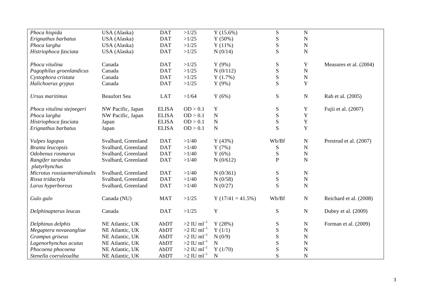| Phoca hispida                | USA (Alaska)        | <b>DAT</b>   | >1/25                    | $Y(15.6\%)$         | ${\bf S}$    | $\mathbf N$ |                        |
|------------------------------|---------------------|--------------|--------------------------|---------------------|--------------|-------------|------------------------|
| Erignathus barbatus          | USA (Alaska)        | <b>DAT</b>   | >1/25                    | Y(50%)              | ${\bf S}$    | ${\bf N}$   |                        |
| Phoca largha                 | USA (Alaska)        | <b>DAT</b>   | >1/25                    | Y(11%)              | ${\bf S}$    | ${\bf N}$   |                        |
| Histriophoca fasciata        | USA (Alaska)        | <b>DAT</b>   | >1/25                    | N(0/14)             | ${\bf S}$    | ${\bf N}$   |                        |
|                              |                     |              |                          |                     |              |             |                        |
| Phoca vitulina               | Canada              | <b>DAT</b>   | >1/25                    | $Y(9\%)$            | ${\bf S}$    | Y           | Measures et al. (2004) |
| Pagophilus groenlandicus     | Canada              | <b>DAT</b>   | >1/25                    | N(0/112)            | S            | ${\bf N}$   |                        |
| Cystophora cristata          | Canada              | <b>DAT</b>   | >1/25                    | Y(1.7%)             | S            | ${\bf N}$   |                        |
| Halichoerus grypus           | Canada              | <b>DAT</b>   | >1/25                    | $Y(9\%)$            | S            | $\mathbf Y$ |                        |
| Ursus maritimus              | <b>Beaufort Sea</b> | <b>LAT</b>   | >1/64                    | Y(6%)               | ${\bf S}$    | ${\bf N}$   | Rah et al. (2005)      |
| Phoca vitulina stejnegeri    | NW Pacific, Japan   | <b>ELISA</b> | OD > 0.1                 | Y                   | ${\bf S}$    | Y           | Fujii et al. (2007)    |
| Phoca largha                 | NW Pacific, Japan   | <b>ELISA</b> | OD > 0.1                 | ${\bf N}$           | ${\bf S}$    | $\mathbf Y$ |                        |
| Histriophoca fasciata        | Japan               | <b>ELISA</b> | OD > 0.1                 | ${\bf N}$           | ${\bf S}$    | $\mathbf Y$ |                        |
| Erignathus barbatus          | Japan               | <b>ELISA</b> | OD > 0.1                 | $\mathbf N$         | S            | Y           |                        |
| Vulpes lagopus               | Svalbard, Greenland | <b>DAT</b>   | >1/40                    | Y(43%)              | Wb/Bf        | ${\bf N}$   | Prestrud et al. (2007) |
| Branta leucopsis             | Svalbard, Greenland | <b>DAT</b>   | >1/40                    | Y(7%)               | ${\bf S}$    | ${\bf N}$   |                        |
| Odobenus rosmarus            | Svalbard, Greenland | <b>DAT</b>   | >1/40                    | Y(6%)               | ${\bf S}$    | ${\bf N}$   |                        |
| Rangifer tarandus            | Svalbard, Greenland | <b>DAT</b>   | >1/40                    | N(0/612)            | $\mathbf{P}$ | $\mathbf N$ |                        |
| platyrhynchus                |                     |              |                          |                     |              |             |                        |
| Microtus rossiaemeridionalis | Svalbard, Greenland | <b>DAT</b>   | >1/40                    | N(0/361)            | ${\bf S}$    | ${\bf N}$   |                        |
| Rissa tridactyla             | Svalbard, Greenland | <b>DAT</b>   | >1/40                    | N(0/58)             | ${\bf S}$    | ${\bf N}$   |                        |
| Larus hyperboreus            | Svalbard, Greenland | <b>DAT</b>   | >1/40                    | N(0/27)             | S            | ${\bf N}$   |                        |
| Gulo gulo                    | Canada (NU)         | <b>MAT</b>   | >1/25                    | $Y(17/41 = 41.5\%)$ | Wb/Bf        | ${\bf N}$   | Reichard et al. (2008) |
| Delphinapterus leucas        | Canada              | <b>DAT</b>   | >1/25                    | $\mathbf Y$         | ${\bf S}$    | ${\bf N}$   | Dubey et al. (2009)    |
| Delphinus delphis            | NE Atlantic, UK     | AbDT         | $>2$ IU ml <sup>-1</sup> | Y(28%)              | ${\bf S}$    | ${\bf N}$   | Forman et al. (2009)   |
| Megaptera novaeangliae       | NE Atlantic, UK     | AbDT         | $>2$ IU ml <sup>-1</sup> | Y(1/1)              | ${\bf S}$    | ${\bf N}$   |                        |
| Grampus griseus              | NE Atlantic, UK     | AbDT         | $>2$ IU ml <sup>-1</sup> | N(0/9)              | ${\bf S}$    | ${\bf N}$   |                        |
| Lagenorhynchus acutus        | NE Atlantic, UK     | AbDT         | $>2$ IU ml <sup>-1</sup> | ${\bf N}$           | ${\bf S}$    | ${\bf N}$   |                        |
| Phocoena phocoena            | NE Atlantic, UK     | AbDT         | $>2$ IU ml <sup>-1</sup> | Y(1/70)             | ${\bf S}$    | ${\bf N}$   |                        |
| Stenella coeruleoalba        | NE Atlantic, UK     | AbDT         | $>2$ IU ml <sup>-1</sup> | $\mathbf N$         | S            | $\mathbf N$ |                        |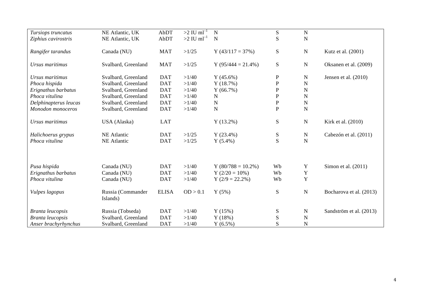| Tursiops truncatus      | NE Atlantic, UK               | AbDT         | $>2$ IU ml <sup>-T</sup> | $\mathbf N$          | ${\bf S}$    | $\mathbf N$    |                         |
|-------------------------|-------------------------------|--------------|--------------------------|----------------------|--------------|----------------|-------------------------|
| Ziphius cavirostris     | NE Atlantic, UK               | AbDT         | $>2$ IU ml <sup>-1</sup> | $\mathbf N$          | S            | ${\bf N}$      |                         |
| Rangifer tarandus       | Canada (NU)                   | <b>MAT</b>   | >1/25                    | $Y(43/117=37%)$      | S            | ${\bf N}$      | Kutz et al. (2001)      |
| Ursus maritimus         | Svalbard, Greenland           | <b>MAT</b>   | >1/25                    | $Y(95/444 = 21.4\%)$ | ${\bf S}$    | ${\bf N}$      | Oksanen et al. (2009)   |
| Ursus maritimus         | Svalbard, Greenland           | <b>DAT</b>   | >1/40                    | Y(45.6%)             | $\mathbf P$  | N              | Jensen et al. $(2010)$  |
| Phoca hispida           | Svalbard, Greenland           | <b>DAT</b>   | >1/40                    | Y(18.7%)             | $\mathbf P$  | $\mathbf N$    |                         |
| Erignathus barbatus     | Svalbard, Greenland           | <b>DAT</b>   | >1/40                    | Y(66.7%)             | $\mathbf P$  | N              |                         |
| Phoca vitulina          | Svalbard, Greenland           | <b>DAT</b>   | >1/40                    | ${\bf N}$            | ${\bf P}$    | $\overline{N}$ |                         |
| Delphinapterus leucas   | Svalbard, Greenland           | <b>DAT</b>   | >1/40                    | ${\bf N}$            | ${\bf P}$    | ${\bf N}$      |                         |
| Monodon monoceros       | Svalbard, Greenland           | <b>DAT</b>   | >1/40                    | $\mathbf N$          | $\, {\bf P}$ | ${\bf N}$      |                         |
| Ursus maritimus         | USA (Alaska)                  | <b>LAT</b>   |                          | $Y(13.2\%)$          | ${\bf S}$    | ${\bf N}$      | Kirk et al. (2010)      |
| Halichoerus grypus      | <b>NE</b> Atlantic            | <b>DAT</b>   | >1/25                    | $Y(23.4\%)$          | ${\bf S}$    | ${\bf N}$      | Cabezón et al. (2011)   |
| Phoca vitulina          | <b>NE</b> Atlantic            | <b>DAT</b>   | >1/25                    | $Y(5.4\%)$           | S            | $\mathbf N$    |                         |
|                         |                               |              |                          |                      |              |                |                         |
| Pusa hispida            | Canada (NU)                   | <b>DAT</b>   | >1/40                    | $Y(80/788=10.2\%)$   | Wb           | Y              | Simon et al. $(2011)$   |
| Erignathus barbatus     | Canada (NU)                   | <b>DAT</b>   | >1/40                    | Y $(2/20 = 10\%)$    | Wb           | $\mathbf Y$    |                         |
| Phoca vitulina          | Canada (NU)                   | <b>DAT</b>   | >1/40                    | $Y(2/9 = 22.2\%)$    | Wb           | $\mathbf Y$    |                         |
| Vulpes lagopus          | Russia (Commander<br>Islands) | <b>ELISA</b> | OD > 0.1                 | Y(5%)                | ${\bf S}$    | ${\bf N}$      | Bocharova et al. (2013) |
| <b>Branta leucopsis</b> | Russia (Tobseda)              | <b>DAT</b>   | >1/40                    | Y(15%)               | ${\bf S}$    | ${\bf N}$      | Sandström et al. (2013) |
| <b>Branta leucopsis</b> | Svalbard, Greenland           | <b>DAT</b>   | >1/40                    | Y(18%)               | ${\bf S}$    | ${\bf N}$      |                         |
| Anser brachyrhynchus    | Svalbard, Greenland           | <b>DAT</b>   | >1/40                    | $Y(6.5\%)$           | S            | N              |                         |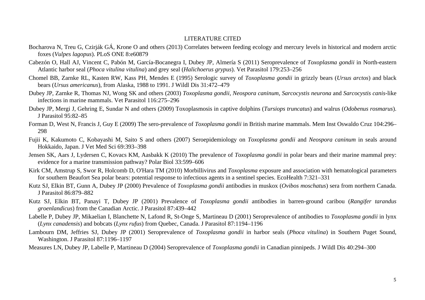## LITERATURE CITED

- Bocharova N, Treu G, Czirják GÁ, Krone O and others (2013) Correlates between feeding ecology and mercury levels in historical and modern arctic foxes (*Vulpes lagopus*). PLoS ONE 8:e60879
- Cabezón O, Hall AJ, Vincent C, Pabón M, García-Bocanegra I, Dubey JP, Almería S (2011) Seroprevalence of *Toxoplasma gondii* in North-eastern Atlantic harbor seal (*Phoca vitulina vitulina*) and grey seal (*Halichoerus grypus*). Vet Parasitol 179:253–256
- Chomel BB, Zarnke RL, Kasten RW, Kass PH, Mendes E (1995) Serologic survey of *Toxoplasma gondii* in grizzly bears (*Ursus arctos*) and black bears (*Ursus americanus*), from Alaska, 1988 to 1991. J Wildl Dis 31:472–479
- Dubey JP, Zarnke R, Thomas NJ, Wong SK and others (2003) *Toxoplasma gondii, Neospora caninum, Sarcocystis neurona* and *Sarcocystis canis*-like infections in marine mammals. Vet Parasitol 116:275–296
- Dubey JP, Mergi J, Gehring E, Sundar N and others (2009) Toxoplasmosis in captive dolphins (*Tursiops truncatus*) and walrus (*Odobenus rosmarus*). J Parasitol 95:82–85
- Forman D, West N, Francis J, Guy E (2009) The sero-prevalence of *Toxoplasma gondii* in British marine mammals. Mem Inst Oswaldo Cruz 104:296– 298
- Fujii K, Kakumoto C, Kobayashi M, Saito S and others (2007) Seroepidemiology on *Toxoplasma gondii* and *Neospora caninum* in seals around Hokkaido, Japan. J Vet Med Sci 69:393–398
- Jensen SK, Aars J, Lydersen C, Kovacs KM, Aasbakk K (2010) The prevalence of *Toxoplasma gondii* in polar bears and their marine mammal prey: evidence for a marine transmission pathway? Polar Biol 33:599–606
- Kirk CM, Amstrup S, Swor R, Holcomb D, O'Hara TM (2010) Morbillivirus and *Toxoplasma* exposure and association with hematological parameters for southern Beaufort Sea polar bears: potential response to infectious agents in a sentinel species. EcoHealth 7:321–331
- Kutz SJ, Elkin BT, Gunn A, Dubey JP (2000) Prevalence of *Toxoplasma gondii* antibodies in muskox (*Ovibos moschatus*) sera from northern Canada. J Parasitol 86:879–882
- Kutz SJ, Elkin BT, Panayi T, Dubey JP (2001) Prevalence of *Toxoplasma gondii* antibodies in barren-ground caribou (*Rangifer tarandus groenlandicus*) from the Canadian Arctic. J Parasitol 87:439–442
- Labelle P, Dubey JP, Mikaelian I, Blanchette N, Lafond R, St-Onge S, Martineau D (2001) Seroprevalence of antibodies to *Toxoplasma gondii* in lynx (*Lynx canadensis*) and bobcats (*Lynx rufus*) from Quebec, Canada. J Parasitol 87:1194–1196
- Lambourn DM, Jeffries SJ, Dubey JP (2001) Seroprevalence of *Toxoplasma gondii* in harbor seals (*Phoca vitulina*) in Southern Puget Sound, Washington. J Parasitol 87:1196–1197

Measures LN, Dubey JP, Labelle P, Martineau D (2004) Seroprevalence of *Toxoplasma gondii* in Canadian pinnipeds. J Wildl Dis 40:294–300